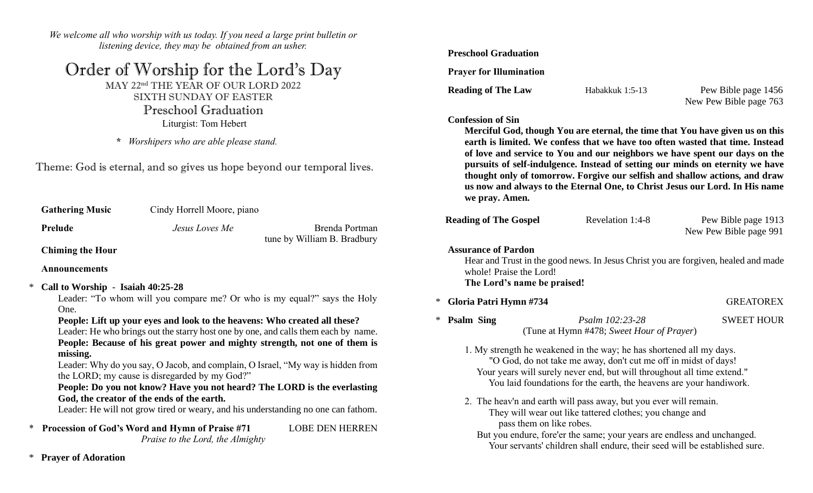*We welcome all who worship with us today. If you need a large print bulletin or listening device, they may be obtained from an usher.*

## Order of Worship for the Lord's Day

MAY 22nd THE YEAR OF OUR LORD 2022 SIXTH SUNDAY OF EASTER Preschool Graduation Liturgist: Tom Hebert

 **\*** *Worshipers who are able please stand.*

Theme: God is eternal, and so gives us hope beyond our temporal lives.

| <b>Gathering Music</b>  | Cindy Horrell Moore, piano |                                               |
|-------------------------|----------------------------|-----------------------------------------------|
| Prelude                 | Jesus Loves Me             | Brenda Portman<br>tune by William B. Bradbury |
| <b>Chiming the Hour</b> |                            |                                               |

**Announcements**

\* **Call to Worship** - **Isaiah 40:25-28**

Leader: "To whom will you compare me? Or who is my equal?" says the Holy One.

**People: Lift up your eyes and look to the heavens: Who created all these?**

Leader: He who brings out the starry host one by one, and calls them each by name. **People: Because of his great power and mighty strength, not one of them is missing.**

Leader: Why do you say, O Jacob, and complain, O Israel, "My way is hidden from the LORD; my cause is disregarded by my God?"

### **People: Do you not know? Have you not heard? The LORD is the everlasting God, the creator of the ends of the earth.**

Leader: He will not grow tired or weary, and his understanding no one can fathom.

\* **Procession of God's Word and Hymn of Praise #71** LOBE DEN HERREN *Praise to the Lord, the Almighty*

#### **Preschool Graduation**

 **Prayer for Illumination** 

**Reading of The Law Habakkuk 1:5-13** Pew Bible page 1456 New Pew Bible page 763

#### **Confession of Sin**

**Merciful God, though You are eternal, the time that You have given us on this earth is limited. We confess that we have too often wasted that time. Instead of love and service to You and our neighbors we have spent our days on the pursuits of self-indulgence. Instead of setting our minds on eternity we have thought only of tomorrow. Forgive our selfish and shallow actions, and draw us now and always to the Eternal One, to Christ Jesus our Lord. In His name we pray. Amen.**

| <b>Reading of The Gospel</b> | Revelation 1:4-8 | Pew Bible page 1913    |
|------------------------------|------------------|------------------------|
|                              |                  | New Pew Bible page 991 |

 **Assurance of Pardon**

Hear and Trust in the good news. In Jesus Christ you are forgiven, healed and made whole! Praise the Lord! **The Lord's name be praised!**

\* **Gloria Patri Hymn #734** GREATOREX

\* **Psalm Sing** *Psalm 102:23-28* SWEET HOUR (Tune at Hymn #478; *Sweet Hour of Prayer*) 

1. My strength he weakened in the way; he has shortened all my days. "O God, do not take me away, don't cut me off in midst of days! Your years will surely never end, but will throughout all time extend." You laid foundations for the earth, the heavens are your handiwork.

- 2. The heav'n and earth will pass away, but you ever will remain. They will wear out like tattered clothes; you change and pass them on like robes.
	- But you endure, fore'er the same; your years are endless and unchanged. Your servants' children shall endure, their seed will be established sure.

\* **Prayer of Adoration**